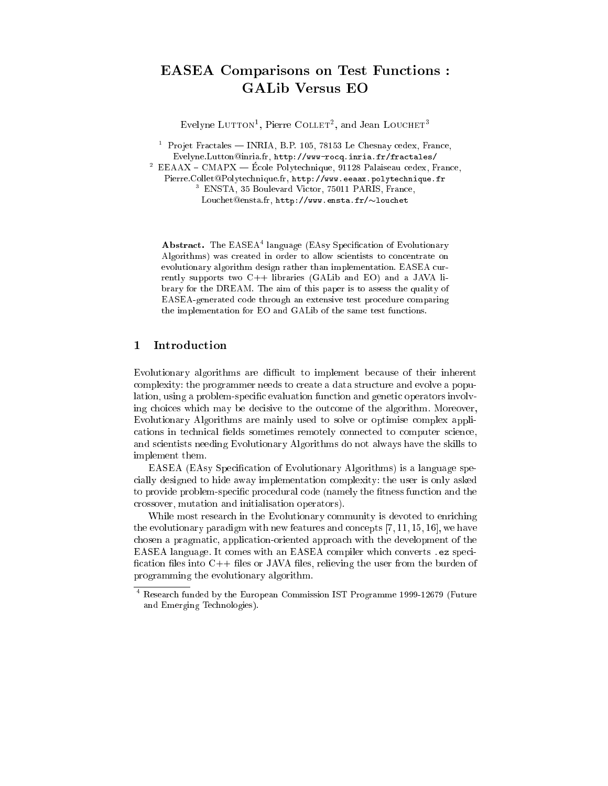# EASEA Comparisons on Test Functions : GALib Versus EO

Evelvne LUTTON, Fleife COLLET, and Jean LOUCHET

 $\blacksquare$  Pro jet Fractales — INRIA, B.P. 105, 78153 Le Chesnay cedex, France, Evelyne.Lutton@inria.fr, http://www-rocq.inria.fr/fractales/ - EEAAA – CMAPA — Ecole Polytecnnique, 91128 Palaiseau cedex, france, Pierre.Collet@Polytechnique.fr, http://www.eeaax.polytechnique.fr <sup>-</sup> ENSTA, 35 Boulevard Victor, 75011 PARIS, France, Louchet@ensta.fr, http://www.ensta.fr/~louchet

Abstract. The EASEA language (EAsy Specification of Evolutionary Algorithms) was created in order to allow scientists to concentrate on evolutionary algorithm design rather than implementation. EASEA currently supports two C++ libraries (GALib and EO) and a JAVA library for the DREAM. The aim of this paper is to assess the quality of EASEA-generated ode through an extensive test pro
edure omparing the implementation for EO and GALib of the same test functions.

## 1 Introdu
tion

Evolutionary algorithms are difficult to implement because of their inherent complexity: the programmer needs to create a data structure and evolve a population, using a problem-specific evaluation function and genetic operators involving choices which may be decisive to the outcome of the algorithm. Moreover, Evolutionary Algorithms are mainly used to solve or optimise omplex appli cations in technical fields sometimes remotely connected to computer science, and s
ientists needing Evolutionary Algorithms do not always have the skills to implement them.

EASEA (EAsy Specification of Evolutionary Algorithms) is a language speially designed to hide away implementation omplexity: the user is only asked to provide problem-specific procedural code (namely the fitness function and the rossover, mutation and initialisation operators).

While most research in the Evolutionary community is devoted to enriching the evolutionary paradigm with new features and concepts  $[7, 11, 15, 16]$ , we have chosen a pragmatic, application-oriented approach with the development of the EASEA language. It comes with an EASEA compiler which converts . ez specification files into  $C_{++}$  files or JAVA files, relieving the user from the burden of programming the evolutionary algorithm.

 $\overline{\phantom{a}}$ Resear
h funded by the European Commission IST Programme 1999-12679 (Future and Emerging Te
hnologies).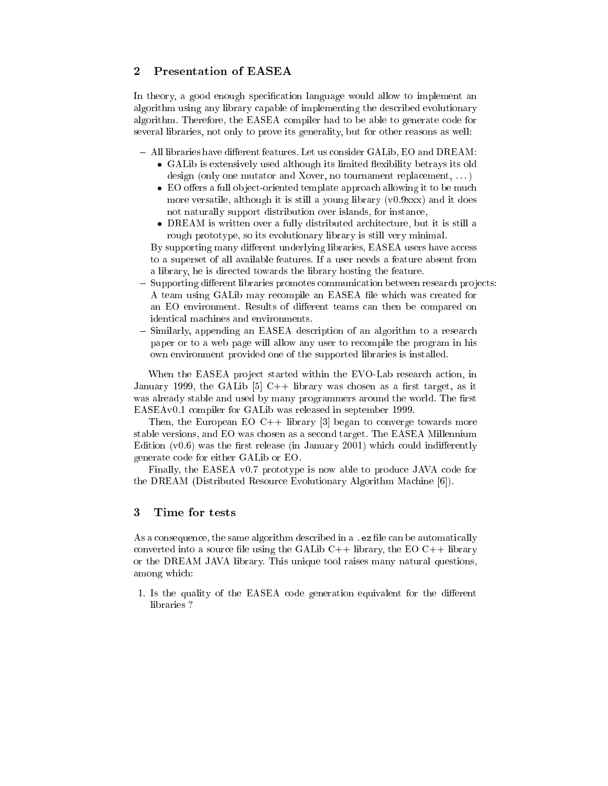## 2 Presentation of EASEA

In theory, a good enough specification language would allow to implement an algorithm using any library apable of implementing the des
ribed evolutionary algorithm. Therefore, the EASEA ompiler had to be able to generate ode for several libraries, not only to prove its generality, but for other reasons as well:

- { All libraries have dierent features. Let us onsider GALib, EO and DREAM:
	- GALib is extensively used although its limited flexibility betrays its old design (only one mutator and Xover, no tournament replacement, ...)
	- $\bullet$  EO offers a full object-oriented template approach allowing it to be much more versatile, although it is still a young library (v0.9xxx) and it does not naturally support distribution over islands, for instan
	e,
	- DREAM is written over a fully distributed ar
	hite
	ture, but it is still a rough prototype, so its evolutionary library is still very minimal.

By supporting many different underlying libraries, EASEA users have access to a superset of all available features. If a user needs a feature absent from a library, he is dire
ted towards the library hosting the feature.

- ommunity at the second libraries of the second community at the second contract of the second second products. A team using GALib may recompile an EASEA file which was created for an EO environment. Results of different teams can then be compared on identi
al ma
hines and environments.
- { Similarly, appending an EASEA des
ription of an algorithm to a resear
h paper or to a web page will allow any user to re
ompile the program in his own environment provided one of the supported libraries is installed.

When the EASEA project started within the EVO-Lab research action, in January 1999, the GALib [5]  $C++$  library was chosen as a first target, as it was already stable and used by many programmers around the world. The first EASEAv0.1 ompiler for GALib was released in september 1999.

Then, the European EO C++ library [3] began to converge towards more stable versions, and EO was hosen as a se
ond target. The EASEA Millennium Edition  $(v0.6)$  was the first release (in January 2001) which could indifferently generate ode for either GALib or EO.

Finally, the EASEA v0.7 prototype is now able to produce JAVA code for the DREAM (Distributed Resource Evolutionary Algorithm Machine [6]).

## 3 Time for tests

As a consequence, the same algorithm described in a .ez file can be automatically converted into a source file using the GALIb  $C_{++}$  library, the EO  $C_{++}$  library or the DREAM JAVA library. This unique tool raises many natural questions, among whi
h:

1. Is the quality of the EASEA code generation equivalent for the different libraries?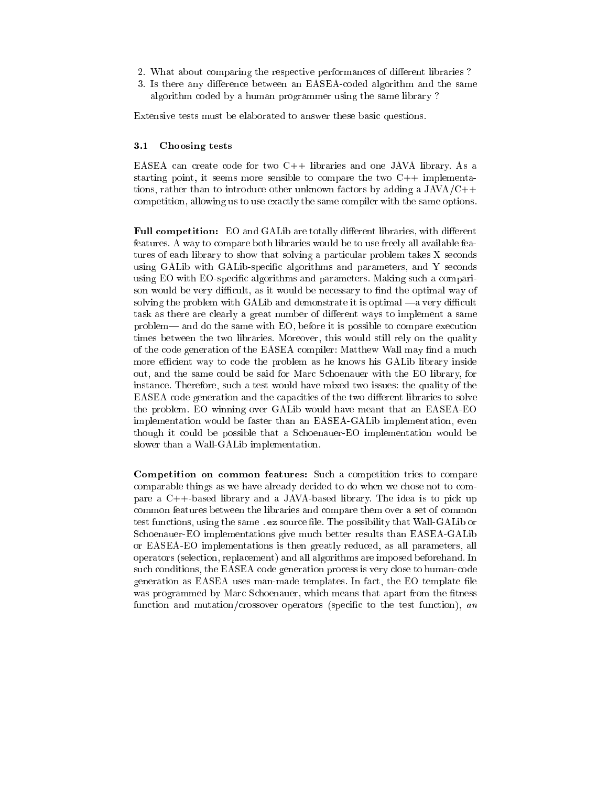- 2. What about comparing the respective performances of different libraries?
- 3. Is there any difference between an EASEA-coded algorithm and the same algorithm oded by a human programmer using the same library ?

Extensive tests must be elaborated to answer these basi questions.

#### 3.1Choosing tests

EASEA can create code for two  $C++$  libraries and one JAVA library. As a starting point, it seems more sensible to compare the two  $C_{++}$  implementations, rather than to introduce other unknown factors by adding a  $JAVA/C++$ ompetition, allowing us to use exa
tly the same ompiler with the same options.

Full ompetition: EO and GALib are totally dierent libraries, with dierent features. A way to compare both libraries would be to use freely all available features of each library to show that solving a particular problem takes X seconds using GALib with GALib-specific algorithms and parameters, and Y seconds using EO with EO-specific algorithms and parameters. Making such a comparison would be very difficult, as it would be necessary to find the optimal way of solving the problem with  $GAL$ ib and demonstrate it is optimal  $\rightarrow$  very difficult task as there are clearly a great number of different ways to implement a same problem— and do the same with EO, before it is possible to compare execution times between the two libraries. Moreover, this would still rely on the quality of the code generation of the EASEA compiler: Matthew Wall may find a much more efficient way to code the problem as he knows his GAL iblibrary inside out, and the same ould be said for Mar S
hoenauer with the EO library, for instan
e. Therefore, su
h a test would have mixed two issues: the quality of the EASEA code generation and the capacities of the two different libraries to solve the problem. EO winning over GALib would have meant that an EASEA-EO implementation would be faster than an EASEA-GALib implementation, even though it ould be possible that a S
hoenauer-EO implementation would be slower than a Wall-GALib implementation.

Competition on ommon features: Su
h a ompetition tries to ompare comparable things as we have already decided to do when we chose not to compare a C++-based library and a JAVA-based library. The idea is to pi
k up ommon features between the libraries and ompare them over a set of ommon test functions, using the same .ez source file. The possibility that Wall-GALib or S
hoenauer-EO implementations give mu
h better results than EASEA-GALib or EASEA-EO implementations is then greatly redu
ed, as all parameters, all operators (sele
tion, repla
ement) and all algorithms are imposed beforehand. In such conditions, the EASEA code generation process is very close to human-code generation as EASEA uses man-made templates. In fact, the EO template file was programmed by Marc Schoenauer, which means that apart from the fitness function and mutation/crossover operators (specific to the test function), an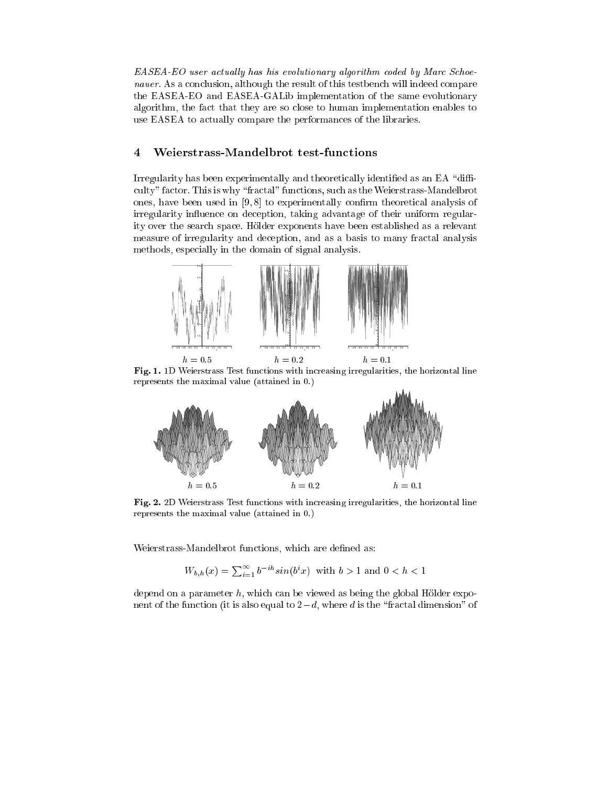EASEA-EO user actually has his evolutionary algorithm coded by Marc Schoenauer. As a conclusion, although the result of this testbench will indeed compare the EASEA-EO and EASEA-GALib implementation of the same evolutionary algorithm, the fact that they are so close to human implementation enables to use EASEA to actually compare the performances of the libraries.

## 4 Weierstrass-Mandelbrot test-fun
tions

Irregularity has been experimentally and theoretically identified as an EA "difficulty" factor. This is why "fractal" functions, such as the Weierstrass-Mandelbrot ones, have been used in  $[9, 8]$  to experimentally confirm theoretical analysis of irregularity influence on deception, taking advantage of their uniform regularity over the sear
h spa
e. Holder exponents have been established as a relevant measure of irregularity and de
eption, and as a basis to many fra
tal analysis methods, espe
ially in the domain of signal analysis.



Fig. 1. 1D Weierstrass Test functions with increasing irregularities, the horizontal line represents the maximal value (attained in 0.)



Fig. 2. 2D Weierstrass Test functions with increasing irregularities, the horizontal line represents the maximal value (attained in 0.)

Weierstrass-Mandelbrot functions, which are defined as:

$$
W_{b,h}(x) = \sum_{i=1}^{\infty} b^{-ih} \sin(b^i x)
$$
 with  $b > 1$  and  $0 < h < 1$ 

depend on a parameter  $h$ , which can be viewed as being the global Hölder exponent of the function (it is also equal to  $2-d$ , where d is the "fractal dimension" of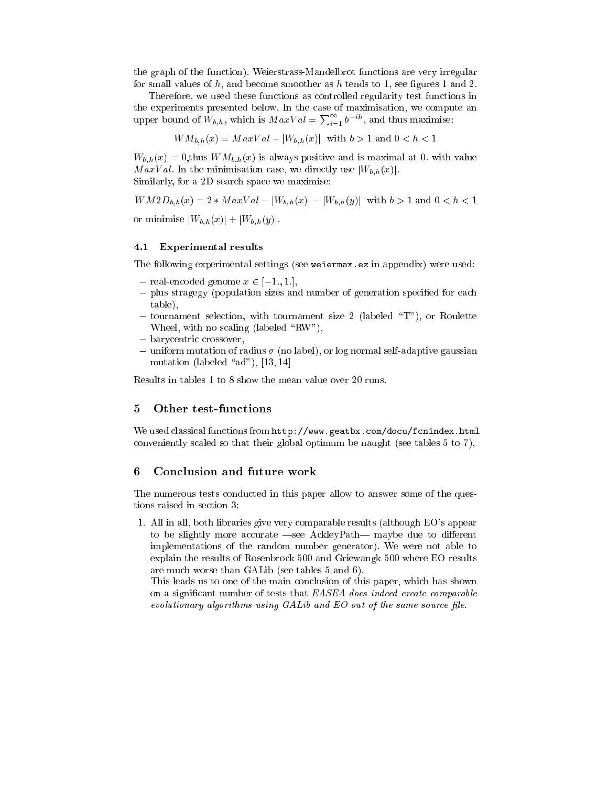the graph of the fun
tion). Weierstrass-Mandelbrot fun
tions are very irregular for small values of h, and become smoother as h tends to 1, see figures 1 and 2.

Therefore, we used these fun
tions as ontrolled regularity test fun
tions in the experiments presented below. In the case of maximisation, we compute an upper bound of  $W_{b,h}$ , which is  $MaxVal = \sum_{i=1}^{\infty} b^{-ih}$ , and thus maximise:

 $WM_{b,h}(x) = MaxVal - |W_{b,h}(x)|$  with  $b > 1$  and  $0 < h < 1$ 

 $W_{b,h}(x) = 0$ , thus  $WM_{b,h}(x)$  is always positive and is maximal at 0. with value *MaxVal.* In the minimisation case, we directly use  $|W_{b,h}(x)|$ . Similarly, for a 2D sear
h spa
e we maximise:

$$
WM2D_{b,h}(x) = 2 * MaxVal - |W_{b,h}(x)| - |W_{b,h}(y)|
$$
 with  $b > 1$  and  $0 < h < 1$ 

or minimise  $|W_{b,h}(x)| + |W_{b,h}(y)|$ .

#### 4.1 Experimental results

The following experimental settings (see weiermax.ez in appendix) were used:

- { real-en
oded genome <sup>x</sup> <sup>2</sup> [1:; 1:℄,
- { plus stragegy (population sizes and number of generation spe
ied for ea
h table),
- $t$  to definition, with the tournament size  $\tau$  (labeled  $\tau$  ), or Roughester Wheel, with no scaling (labeled "RW"),
- entri baryon baryon baryon baryon baryon baryon baryon baryon baryon baryon baryon baryon baryon baryon baryon baryon baryon baryon baryon baryon baryon baryon baryon baryon baryon baryon baryon baryon baryon baryon baryon
- ${\bf u} = {\bf u}$ mutation (labeled "ad"),  $[13, 14]$

Results in tables 1 to 8 show the mean value over 20 runs.

## 5 Other test-fun
tions

We used classical functions from http://www.geatbx.com/docu/fcnindex.html onveniently s
aled so that their global optimum be naught (see tables 5 to 7),

### 6 Con
lusion and future work

The numerous tests conducted in this paper allow to answer some of the questions raised in se
tion 3:

1. All in all, both libraries give very omparable results (although EO's appear to be slightly more accurate -see AckleyPath- maybe due to different implementations of the random number generator). We were not able to explain the results of Rosenbro
k 500 and Griewangk 500 where EO results are mu
h worse than GALib (see tables 5 and 6).

This leads us to one of the main conclusion of this paper, which has shown on a significant number of tests that EASEA does indeed create comparable  $evolutionary$  algorithms using  $GALib$  and  $EO$  out of the same source file.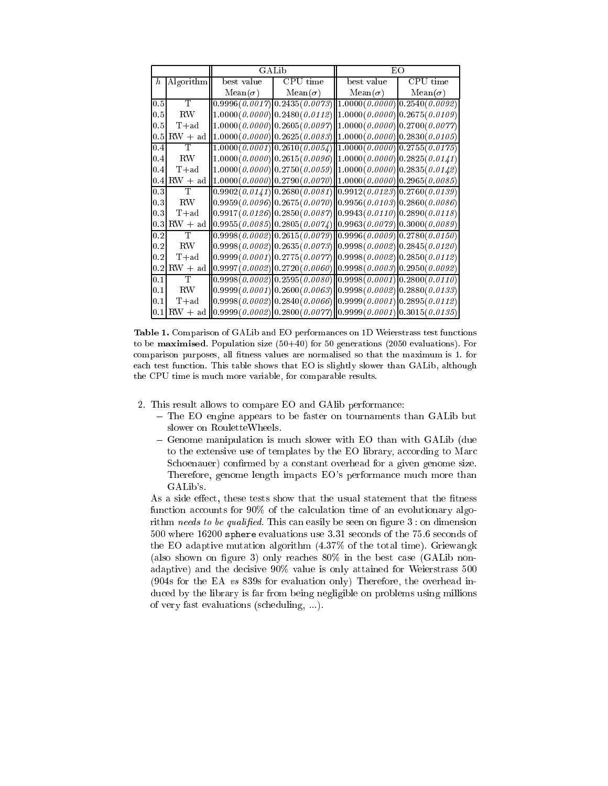|                  |             |                | GALib          | EО                                                                                                                 |                |
|------------------|-------------|----------------|----------------|--------------------------------------------------------------------------------------------------------------------|----------------|
| $\boldsymbol{h}$ | Algorithm   | best value     | CPU time       | best value                                                                                                         | CPU time       |
|                  |             | $Mean(\sigma)$ | $Mean(\sigma)$ | Mean( $\sigma$ )                                                                                                   | $Mean(\sigma)$ |
| 0.5              | $\mathbf T$ | 0.9996(0.0017) |                | $[0.2435(\theta.0073)]]1.0000(\theta.0000)$ $[0.2540(\theta.0092)$                                                 |                |
| 0.5              | RW          |                |                | $1.0000(0.0000)$ $0.2480(0.0112)$ $  1.0000(0.0000)$ $ 0.2675(0.0109)$                                             |                |
| 0.5              | $T + ad$    |                |                | $(1.0000(\theta.0000)   0.2605(\theta.0097)    1.0000(\theta.0000)   0.2700(\theta.0077))$                         |                |
| 0.5              | $RW + ad$   |                |                | $(1.0000(0.0000) 0.2625(0.0083) 11.0000(0.0000) 0.2830(0.0105))$                                                   |                |
| 0.4              | T           |                |                | $(1.0000(\theta.0001)[0.2610(\theta.0054)][1.0000(\theta.0000)[0.2755(\theta.0175)]$                               |                |
| 0.4              | RW          |                |                | $(1.0000 \, (\theta.0000) \,   0.2615 \, (\theta.0096) \,    1.0000 \, (\theta.0000) \,   0.2825 \, (\theta.0141)$ |                |
| 0.4              | $T + ad$    |                |                | $(1.0000(0.0000)   0.2750(0.0059)   1.0000(0.0000)   0.2835(0.0142)$                                               |                |
| 0.4              | $RW + ad$   |                |                | $(1.0000(\theta.0000)   0.2790(\theta.0070)    1.0000(\theta.0000)   0.2965(\theta.0085))$                         |                |
| 0.3              | Т           |                |                | $[0.9902(\theta.0141) \ 0.2680(\theta.0081) \ 0.9912(\theta.0123) \ 0.2760(\theta.0139)]$                          |                |
| 0.3              | RW          |                |                | $[0.9959(\theta.0096)[0.2675(\theta.0070)][0.9956(\theta.0103)[0.2860(\theta.0086)]$                               |                |
| 0.3 <sub>l</sub> | $T + ad$    |                |                | $[0.9917(\theta.0126) \, 0.2850(\theta.0087) \, 0.9943(\theta.0110) \, 0.2890(\theta.0118)]$                       |                |
| 0.3              | $RW + ad$   |                |                | $[0.9955(\theta.0085)[0.2805(\theta.0074)][0.9963(\theta.0079)[0.3000(\theta.0089)]$                               |                |
| 0.2              | T           |                |                | $[0.9998(0.0002) 0.2615(0.0079) 0.9996(0.0009) 0.2780(0.0150)$                                                     |                |
| 0.2              | <b>RW</b>   |                |                | $[0.9998(0.0002) 0.2635(0.0073)$ $[0.9998(0.0002) 0.2845(0.0120)$                                                  |                |
| 0.2              | $T + ad$    |                |                | $[0.9999(0.0001) 0.2775(0.0077) 0.9998(0.0002) 0.2850(0.0112)]$                                                    |                |
| 0.2              | $RW + ad$   |                |                | $[0.9997(\theta.0002)[0.2720(\theta.0060)][0.9998(\theta.0003)[0.2950(\theta.0092)]$                               |                |
| 0.1              | T           |                |                | $(0.9998(0.0002) 0.2595(0.0080) 0.9998(0.0001) 0.2800(0.0110)$                                                     |                |
| 0.1              | RW          |                |                | $(0.9999(0.0001)   0.2600(0.0063)    0.9998(0.0002)   0.2880(0.0133)$                                              |                |
| 0.1              | $T + ad$    |                |                | $[0.9998(0.0002) 0.2840(0.0066) 0.9999(0.0001) 0.2895(0.0112)]$                                                    |                |
| $\overline{0.1}$ | ad<br>RW.   |                |                | $[0.9999(\theta.0002)[0.2800(\theta.0077)][0.9999(\theta.0001)[0.3015(\theta.0135)]$                               |                |

Table 1. Comparison of GALib and EO performances on 1D Weierstrass test functions to be maximised. Population size  $(50+40)$  for 50 generations  $(2050$  evaluations). For comparison purposes, all fitness values are normalised so that the maximum is 1. for ea
h test fun
tion. This table shows that EO is slightly slower than GALib, although the CPU time is mu
h more variable, for omparable results.

2. This result allows to ompare EO and GAlib performan
e:

- { The EO engine appears to be faster on tournaments than GALib but slower on RouletteWheels.
- { Genome manipulation is mu
h slower with EO than with GALib (due to the extensive use of templates by the EO library, according to Marc Schoenauer) confirmed by a constant overhead for a given genome size. Therefore, genome length impacts EO's performance much more than GALib's.

As a side effect, these tests show that the usual statement that the fitness function accounts for 90% of the calculation time of an evolutionary algorithm needs to be qualified. This can easily be seen on figure  $3:$  on dimension 500 where 16200 sphere evaluations use 3.31 se
onds of the 75.6 se
onds of the EO adaptive mutation algorithm (4.37% of the total time). Griewangk (also shown on figure 3) only reaches  $80\%$  in the best case (GALib nonadaptive) and the decisive 90% value is only attained for Weierstrass 500 (904s for the EA vs 839s for evaluation only) Therefore, the overhead indu
ed by the library is far from being negligible on problems using millions of very fast evaluations (s
heduling, ...).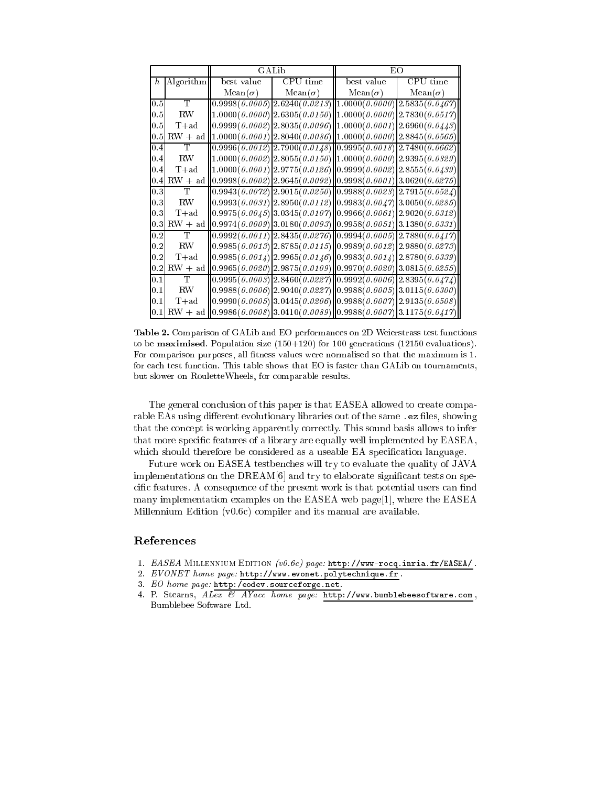|                  |           |                                                                          | GALib                                                                                                                                                               | EО             |                  |
|------------------|-----------|--------------------------------------------------------------------------|---------------------------------------------------------------------------------------------------------------------------------------------------------------------|----------------|------------------|
| $\boldsymbol{h}$ | Algorithm | best value                                                               | CPU time                                                                                                                                                            | best value     | CPU time         |
|                  |           | $Mean(\sigma)$                                                           | Mean( $\sigma$ )                                                                                                                                                    | $Mean(\sigma)$ | Mean( $\sigma$ ) |
| 0.5              | T         | 0.9998(0.0005)                                                           | $\left[2.6240\right]\left(0.0213\right)\right]$ $\left[1.0000\right]\left(0.0000\right)\left[2.5835\right]\left(0.046\right)$                                       |                |                  |
| 0.5              | RW        | 1.0000(0.0000)                                                           | $[2.6305(0.0150)]]1.0000(0.0000)$ $[2.7830(0.0517)$                                                                                                                 |                |                  |
| 0.5              | $T + ad$  | lo.9999( <i>0.0002</i> )                                                 | $\left[2.8035\left(\frac{\theta.0096}{\theta}\right)\right]\left[1.0000\left(\frac{\theta.0001}{\theta}\right)\right]2.6960\left(\frac{\theta.0443}{\theta}\right)$ |                |                  |
| 0.5              | $RW + ad$ | (1.0000(0.0001))                                                         | $\left[2.8040\left(\right.0.0086\right)\right]$ $\left[1.0000\left(\right.0.0000\right)\right]$ $\left[2.8845\left(\right.0.0565\right)\right]$                     |                |                  |
| 0.4              | T         | l0.9996( <i>0.0012</i> )                                                 | $(2.7900(0.0148)  0.9995(0.0018) 2.7480(0.0662))$                                                                                                                   |                |                  |
| 0.4              | RW        |                                                                          | $1.0000(0.0002)[2.8055(0.0150)][1.0000(0.0000)[2.9395(0.0329)]$                                                                                                     |                |                  |
| 0.4              | $T + ad$  |                                                                          | $1.0000(0.0001)[2.9775(0.0126)][0.9999(0.0002)[2.8555(0.0439)]$                                                                                                     |                |                  |
| 0.4              | $RW + ad$ | (0.9998(0.0002))                                                         | $[2.9645(0.0092)]]0.9998(0.0001)]3.0620(0.0275)$                                                                                                                    |                |                  |
| 0.3              | T         |                                                                          | $[0.9943(0.0072)[2.9015(0.0250)[0.9988(0.0023)[2.7915(0.0524)]$                                                                                                     |                |                  |
| 0.3              | RW        |                                                                          | $[0.9993(0.0031)[2.8950(0.0112)][0.9983(0.0047)]3.0050(0.0285)]$                                                                                                    |                |                  |
| 0.3              | $T + ad$  |                                                                          | $[0.9975(\theta.0045)]3.0345(\theta.0107)  0.9966(\theta.0061) 2.9020(\theta.0312)$                                                                                 |                |                  |
| 0.3              |           | RW + ad $(0.9974(0.0009)(3.0180(0.0093)) 0.9958(0.0051)(3.1380(0.0331))$ |                                                                                                                                                                     |                |                  |
| 0.2              | T.        |                                                                          | $[0.9992(\textit{ 0.0011})   2.8435(\textit{ 0.0276})  0.9994(\textit{ 0.0005})   2.7880(\textit{ 0.0417})$                                                         |                |                  |
| 0.2              | RW        |                                                                          | $[0.9985(0.0013) \, 2.8785(0.0115) \, 0.9989(0.0012) \, 2.9880(0.0273)$                                                                                             |                |                  |
| 0.2              | $T + ad$  | (0.9985(0.0014))                                                         | $\left 2.9965(0.0146)  0.9983(0.0014)  2.8780(0.0339)\right $                                                                                                       |                |                  |
| 0.2              |           | RW + ad $(0.9965(0.0020))$                                               | $[2.9875(0.0109)]]0.9970(0.0020)]3.0815(0.0255)$                                                                                                                    |                |                  |
| 0.1              | T         |                                                                          | $[0.9995(\textit{0.0003})[2.8460(\textit{0.0227})][0.9992(\textit{0.0006})[2.8395(\textit{0.0474})]$                                                                |                |                  |
| 0.1              | RW        |                                                                          | $[0.9988(0.0006)[2.9040(0.0227)][0.9988(0.0005)[3.0115(0.0300)]$                                                                                                    |                |                  |
| 0.1              | $T + ad$  |                                                                          | $[0.9990(0.0005)   3.0445(0.0206)    0.9988(0.0007)   2.9135(0.0508)$                                                                                               |                |                  |
| 0.1              | RW.       | $+$ ad $(0.9986(0.0008)(3.0410(0.0089)(0.9988(0.0007)(3.1175(0.0417))$   |                                                                                                                                                                     |                |                  |

Table 2. Comparison of GALib and EO performances on 2D Weierstrass test functions to be maximised. Population size (150+120) for 100 generations (12150 evaluations). For comparison purposes, all fitness values were normalised so that the maximum is 1. for each test function. This table shows that EO is faster than GALib on tournaments, but slower on RouletteWheels, for omparable results.

The general conclusion of this paper is that EASEA allowed to create comparable EAs using different evolutionary libraries out of the same .ez files, showing that the concept is working apparently correctly. This sound basis allows to infer that more specific features of a library are equally well implemented by EASEA, which should therefore be considered as a useable EA specification language.

Future work on EASEA testben
hes will try to evaluate the quality of JAVA implementations on the DREAM $[6]$  and try to elaborate significant tests on specific features. A consequence of the present work is that potential users can find many implementation examples on the EASEA web page[1], where the EASEA Millennium Edition (v0.6c) compiler and its manual are available.

## Referen
es

- 1. EASEA MILLENNIUM EDITION (v0.6c) page: http://www-rocq.inria.fr/EASEA/.
- 2. EVONET home page: http://www.evonet.polytechnique.fr.
- 3. EO home page: http:/eodev.sour
eforge.net.
- 4. P. Stearns,  $AL\overline{ex}$  & AYacc home page: http://www.bumblebeesoftware.com Bumblebee Software Ltd.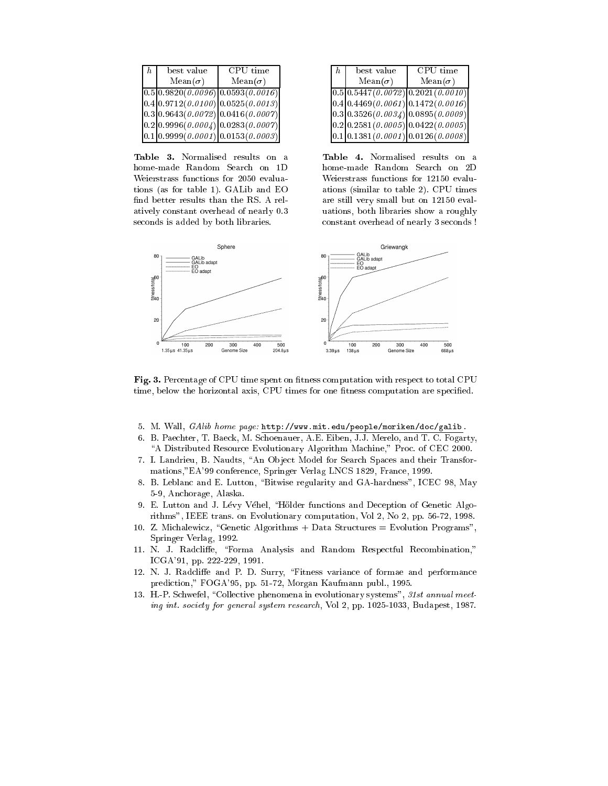| $\hbar$ | best value                              | CPU time                                            |
|---------|-----------------------------------------|-----------------------------------------------------|
|         | $Mean(\sigma)$                          | Mean( $\sigma$ )                                    |
|         |                                         | $[0.5 \, 0.9820 \, (0.0096) \, 0.0593 \, (0.0016)]$ |
|         | [0.4] 0.9712(0.0100) 0.0525(0.0013)     |                                                     |
|         | $[0.3]0.9643(0.0072)$ $[0.0416(0.0007)$ |                                                     |
|         | [0.2]0.9996(0.0004)[0.0283(0.0007)]     |                                                     |
|         |                                         | $[0.1]0.9999(0.0001)$ $[0.0153(0.0003)]$            |

<sup>h</sup> best value CPU time  $\text{Mean}(\sigma)$  | Mean $(\sigma)$  $0.5 \, 0.5447 \, (0.0072) \, 0.2021 \, (0.0010)$  $0.4 \, 0.4469 \, (0.0061) \, 0.1472 \, (0.0016)$  $0.3 \, 0.3526 \, (0.0034) \, 0.0895 \, (0.0009)$  $0.2 \, 0.2581 \, 0.0005$   $0.0422 \, 0.0005$  $0.1 \, 0.1381 \, 0.0001 \, 0.0126 \, 0.0008$ 

Table 3. Normalised results on a home-made Random Sear
h on 1D Weierstrass fun
tions for 2050 evaluations (as for table 1). GALib and EO find better results than the RS. A relatively onstant overhead of nearly 0.3 se
onds is added by both libraries.

Table 4. Normalised results on a home-made Random Sear
h on 2D Weierstrass fun
tions for 12150 evaluations (similar to table 2). CPU times are still very small but on 12150 evaluations, both libraries show a roughly onstant overhead of nearly 3 se
onds !



Fig. 3. Percentage of CPU time spent on fitness computation with respect to total CPU time, below the horizontal axis, CPU times for one fitness computation are specified.

- 5. M. Wall, GAlib home page: http://www.mit.edu/people/moriken/doc/galib.
- 6. B. Paechter, T. Baeck, M. Schoenauer, A.E. Eiben, J.J. Merelo, and T. C. Fogarty, "A Distributed Resource Evolutionary Algorithm Machine," Proc. of CEC 2000.
- 7. I. Landrieu, B. Naudts, "An Object Model for Search Spaces and their Transformations,"EA'99 onferen
e, Springer Verlag LNCS 1829, Fran
e, 1999.
- 8. B. Leblanc and E. Lutton, "Bitwise regularity and GA-hardness", ICEC 98, May 5-9, An
horage, Alaska.
- 9. E. Lutton and J. Lévy Véhel, "Hölder functions and Deception of Genetic Algorithms", IEEE trans. on Evolutionary omputation, Vol 2, No 2, pp. 56-72, 1998.
- 10. Z. Michalewicz, "Genetic Algorithms + Data Structures = Evolution Programs", Springer Verlag, 1992.
- 11. N. J. Radcliffe, "Forma Analysis and Random Respectful Recombination," ICGA'91, pp. 222-229, 1991.
- 12. N. J. Radcliffe and P. D. Surry, "Fitness variance of formae and performance predi
tion," FOGA'95, pp. 51-72, Morgan Kaufmann publ., 1995.
- 13. H.-P. Schwefel, "Collective phenomena in evolutionary systems", 31st annual meeting int. society for general system research, Vol 2, pp. 1025-1033, Budapest, 1987.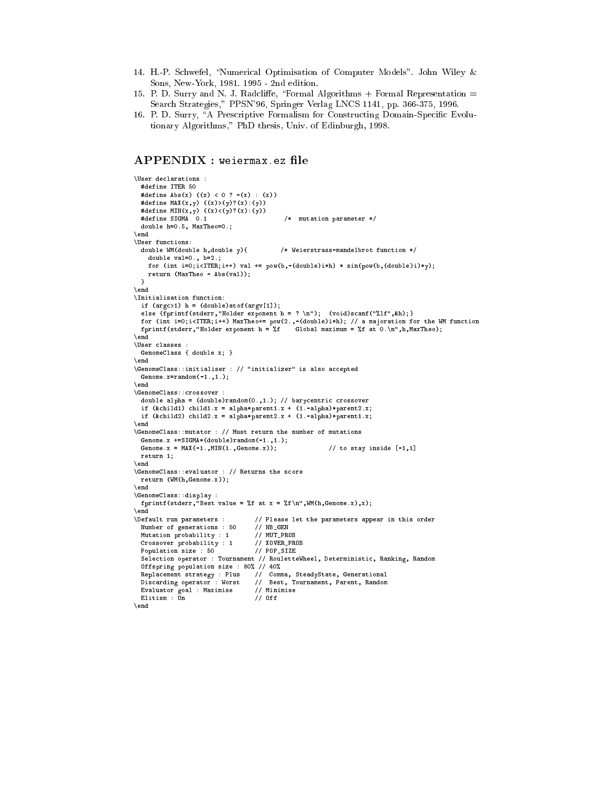- 14. H.-P. Schwefel, "Numerical Optimisation of Computer Models". John Wiley & Sons, New-York, 1981. 1995 - 2nd edition.
- 15. P. D. Surry and N. J. Radcliffe, "Formal Algorithms  $+$  Formal Representation  $=$ Sear
h Strategies," PPSN'96, Springer Verlag LNCS 1141, pp. 366-375, 1996.
- 16. P. D. Surry, "A Prescriptive Formalism for Constructing Domain-Specific Evolutionary Algorithms," PhD thesis, Univ. of Edinburgh, 1998.

## $APPENDIX: weiermax. ez file$

```
*define ITER 50
  #define Abs(x) ((x) < 0 ? -(x) : (x))
  #define MAX(x, y) ((x)>(y)?(x):(y))#define MIN(x,y) ((x){\langle} (y){?}(x):(y))#define SIGMA 0.1 /* mutation parameter */
  double h=0.5, MaxTheo=0.;
\end
\ddot{\phantom{a}}\User fun
tions:
 double WM(double h,double y){
                                                /* Weierstrass-mandelbrot function */
    double val=0., b=2.;
    for (int i=0;i<ITER;i++) val += pow(b,-(double)i*h) * sin(pow(b,(double)i)*y);
    return (MaxTheo - Abs(val));
 T
  }
\eta\ddot{\phantom{a}}\Initialisation fun
tion:
  if (arg
>1) h = (double)atof(argv[1℄);
  else {fprintf(state); (state); (void)s {\ndight}{\news}} (void)s {\news}} (void)s {\news}} (void)s {\news}} (v
  for (int i=0;i<ITER;i++) MaxTheo+= pow(2.,-(double)i*h); // a majoration for the WM fun
tion
  for the following derivative exponent in \mu and \mu at \mu at \mu, \mu, \mu, \mu, \mu, \mu, \mu, \mu, \mu, \mu, \mu, \mu, \mu, \mu, \mu, \mu, \mu, \mu, \mu, \mu, \mu, \mu, \mu, \mu, \mu, \mu,
\end{bmatrix}\mathcal{L} . The contract of \mathcal{L}\User 
lasses :
  GenomeClass { double x; }
\end
\GenomeClass::initialiser : // "initializer" is also accepted
  Genome.x=random(-1, 1.);
\end
\GenomeClass::
rossover :
  double alpha = (double) random(0., 1.); // barycentric crossoverif (&child2) child2.x = alpha*parent2.x + (1.-alpha)*parent1.x;
\ddot{\phantom{a}}\GenomeClass::mutator : // Must return the number of mutations
  Genome.x +=SIGMA*(double) random(-1.,1.);Genome.x = MAX(-1., MIN(1., Genome.x)); // to stay inside [-1,1]return 1;
\eta\mathcal{L} . The contract of \mathcal{L}\GenomeClass::evaluator : // Returns the s
ore
 return (WM(h,Genome.x));
\verb|\end|fprintf(stderr, "Best value = %f at x = %f\n", WM(h, Genome.x), x);
\end
\Default run parameters : // Please let the parameters appear in this order Number of generations : 50 // NB_GEN
 Number of generations : 50
  Mutation probability : 1 // MUT_PROB<br>Crossover probability : 1 // XOVER_PROB
  Crossover probability : 1 // XOVER_PR<br>Population size : 50 // POP_SIZE
 Population size : 50Selection operator : Tournament // RouletteWheel, Deterministic, Ranking, Random
 Offspring population size : 80% // 40%
  n-partiment strategy : Plus // Comma, Perasjevall, Commandateur<br>Discarding operator : Worst // Best, Tournament, Parent, Random
  Evaluator goal : Maximise // Minimise
Elitism : \bar{0}n // Off \end
  Elitism : On
\ddot{\phantom{a}}
```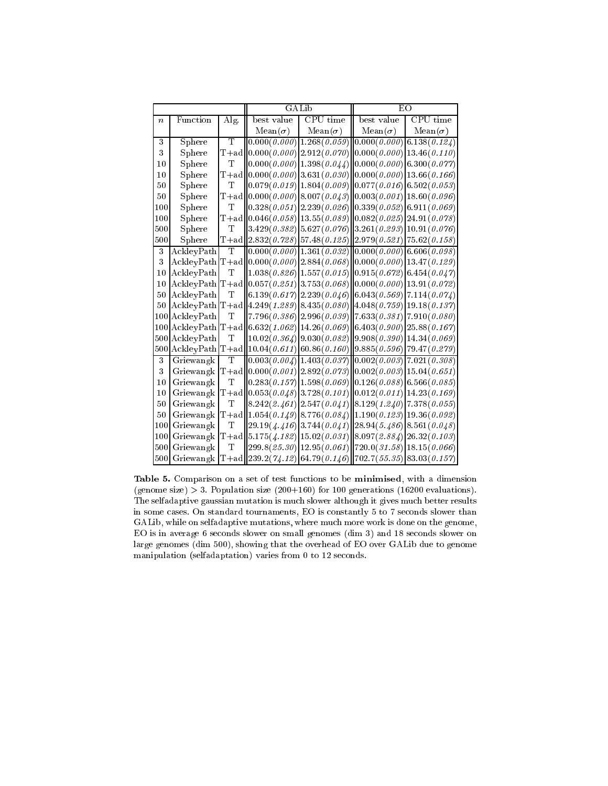|                  |                                |               | GALib           |                            | EO                            |                 |
|------------------|--------------------------------|---------------|-----------------|----------------------------|-------------------------------|-----------------|
| $\boldsymbol{n}$ | Function<br>Alg.               |               | best value      | CPU time                   | best value                    | CPU time        |
|                  |                                |               | $Mean(\sigma)$  | $Mean(\sigma)$             | $Mean(\sigma)$                | $Mean(\sigma)$  |
| 3                | Sphere                         | T             | 0.000(0.000)    | 1.268(0.059)               | 0.000(0.000)                  | 6.138(0.124)    |
| 3                | Sphere                         | $T + ad$      | 0.000(0.000)    | 2.912(0.070)               | 0.000(0.000)                  | 13.46(0.110)    |
| 10               | Sphere                         | T             | 0.000(0.000)    | 1.398(0.044)               | 0.000(0.000)                  | 6.300(0.077)    |
| 10               | Sphere                         | $T + ad$      | 0.000(0.000)    | 3.631(0.030)               | $\ket{0.000(\textit{0.000})}$ | 13.66 (0.166)   |
| 50               | Sphere                         | T             | 0.079(0.019)    | 1.804(0.009)               | 0.077(0.016)                  | 6.502(0.053)    |
| 50               | Sphere                         | $T + ad$      | 0.000(0.000)    | 8.007(0.043)               | 0.003(0.001)                  | 18.60(0.096)    |
| 100              | Sphere                         | T             | 0.328(0.051)    | 2.239(0.026)               | 0.339(0.052)                  | 6.911(0.069)    |
| 100              | Sphere                         | $_{\rm T+ad}$ | 0.046(0.058)    | 13.55(0.089)               | 0.082(0.025)                  | 24.91(0.078)    |
| 500              | Sphere                         | Τ             | 3.429(0.382)    | 5.627(0.076)               | 3.261(0.293)                  | 10.91(0.076)    |
| 500              | Sphere                         | $T + ad$      | 2.832(0.728)    | 57.48(0.125)               | 2.979(0.521)                  | 75.62(0.158)    |
| 3                | <b>AckleyPath</b>              | T             | 0.000(0.000)    | 1.361(0.032)               | $ 0.000(\mathit{0.000})$      | 6.606(0.098)    |
| 3                | $\text{AcknowledleyPath}$ T+ad |               | 0.000(0.000)    | 2.884(0.068)               | 0.000(0.000)                  | 13.47(0.129)    |
| 10               | AckleyPath                     | Τ             | 1.038(0.826)    | 1.557(0.015)               | 0.915(0.672)                  | 6.454(0.047)    |
| 10               | AckleyPath                     | $T + ad$      | 0.057(0.251)    | 3.753(0.068)               | 0.000(0.000)                  | 13.91(0.072)    |
| 50               | AckleyPath                     | T             | 6.139(0.617)    | 2.239(0.046)               | (6.043(0.569))                | 7.114(0.074)    |
| 50               | $\text{AcknowledleyPath}$ T+ad |               | 4.249(1.289)    | 8.435(0.080)               | 4.048(0.759)                  | 19.18 (0.137)   |
| 100              | AckleyPath                     | Τ             | 7.796(0.386)    | 2.996(0.039)               | 7.633(0.381)                  | 7.910(0.080)    |
| 100              | AckleyPath                     | $T + ad$      | 6.632(1.062)    | 14.26(0.069)               | 6.403(0.900)                  | 25.88(0.167)    |
| 500              | AckleyPath                     | T             | 10.02(0.364)    | 9.030(0.082)               | 9.908(0.390)                  | 14.34(0.069)    |
| 500              | $AcknowledleyPath T+a$ d       |               | 10.04(0.611)    | 60.86(0.160)  9.885(0.596) |                               | 79.47 $(0.279)$ |
| 3                | Griewangk                      | Τ             | 0.003(0.004)    | 1.403(0.037)               | $0.002$ ( $0.003$ )           | 7.021(0.308)    |
| 3                | Griewangk                      | $T + ad$      | 0.000(0.001)    | 2.892(0.073)               | 0.002(0.003)                  | 15.04(0.651)    |
| 10               | Griewangk                      | T             | 0.283(0.157)    | 1.598(0.069)               | 0.126(0.088)                  | 6.566(0.085)    |
| 10               | Griewangk                      | $T + ad$      | 0.053(0.048)    | 3.728(0.101)               | 0.012(0.011)                  | 14.23(0.169)    |
| 50               | Griewangk                      | T             | 8.242(2.461)    | 2.547(0.041)               | 8.129(1.240)                  | 7.378(0.055)    |
| 50               | Griewangk                      | $_{\rm T+ad}$ | 1.054 $(0.149)$ | 8.776(0.084)               | 1.190(0.123)                  | 19.36 (0.092)   |
| 100              | Griewangk                      | T             | 29.19(4.416)    | 3.744(0.041)               | 28.94(5.486)                  | 8.561(0.048)    |
| 100              | Griewangk                      | $T + ad$      | 5.175(4.182)    | 15.02(0.031)               | 8.097(2.884)                  | 26.32(0.103)    |
| 500              | Griewangk                      | T             | 299.8 (25.30)   | 12.95(0.061)               | [720.0(31.58)                 | 18.15(0.066)    |
| 500              | Griewangk                      | $T + ad$      | 239.2 (74.12)   | 64.79(0.146)               | 702.7(55.35)                  | 83.03 (0.157)   |

Table 5. Comparison on a set of test functions to be minimised, with a dimension (genome size)  $> 3$ . Population size (200+160) for 100 generations (16200 evaluations). The selfadaptive gaussian mutation is much slower although it gives much better results in some cases. On standard tournaments, EO is constantly 5 to 7 seconds slower than GALib, while on selfadaptive mutations, where mu
h more work is done on the genome, EO is in average 6 seconds slower on small genomes (dim 3) and 18 seconds slower on large genomes (dim 500), showing that the overhead of EO over GALib due to genome manipulation (selfadaptation) varies from 0 to 12 seconds.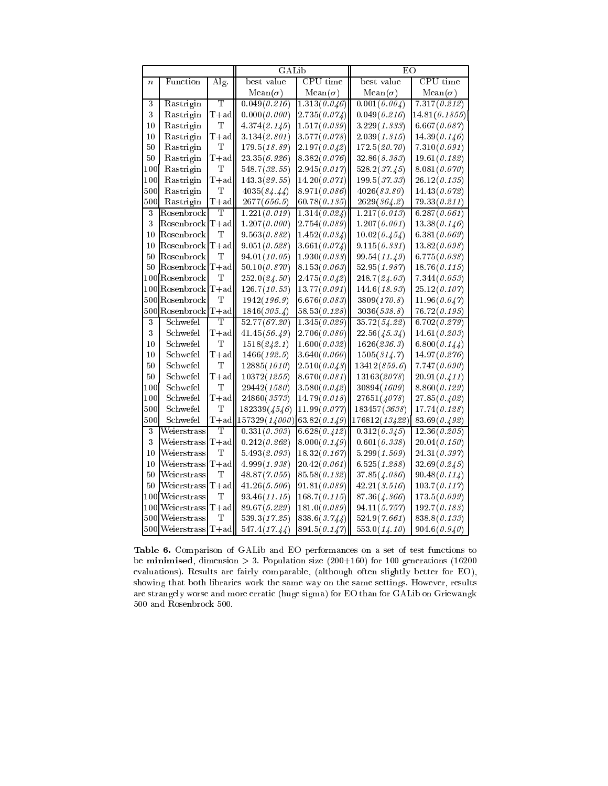|                  |                            | GALib              |                | EО                  |                |                |
|------------------|----------------------------|--------------------|----------------|---------------------|----------------|----------------|
| $\boldsymbol{n}$ | Function                   | Alg.               | best value     | CPU time            | best value     | CPU time       |
|                  |                            |                    | $Mean(\sigma)$ | $Mean(\sigma)$      | $Mean(\sigma)$ | $Mean(\sigma)$ |
| 3                | Rastrigin                  | T                  | 0.049(0.216)   | 1.313(0.046)        | 0.001(0.004)   | 7.317(0.212)   |
| 3                | Rastrigin                  | $T + ad$           | 0.000(0.000)   | 2.735(0.074)        | 0.049(0.216)   | 14.81(0.1855)  |
| 10               | Rastrigin                  | т                  | 4.374(2.145)   | 1.517(0.039)        | 3.229(1.333)   | 6.667(0.087)   |
| 10               | Rastrigin                  | $T + ad$           | 3.134(2.801)   | 3.577(0.078)        | 2.039(1.315)   | 14.39(0.146)   |
| 50               | Rastrigin                  | т                  | 179.5 (18.89)  | 2.197(0.042)        | 172.5(20.70)   | 7.310(0.091)   |
| 50               | Rastrigin                  | $T + ad$           | 23.35 (6.926)  | 8.382(0.076)        | 32.86(8.383)   | 19.61(0.182)   |
| 100              | Rastrigin                  | т                  | 548.7(32.55)   | 2.945(0.017)        | 528.2(37.45)   | 8.081(0.070)   |
| 100              | Rastrigin                  | $T + ad$           | 143.3 (29.55)  | 14.20(0.071)        | 199.5(37.33)   | 26.12(0.135)   |
| 500              | Rastrigin                  | T                  | 4035(84.44)    | 8.971(0.086)        | 4026(83.80)    | 14.43 (0.072)  |
| 500              | Rastrigin                  | $T + ad$           | 2677(656.5)    | 60.78(0.135)        | 2629(364.2)    | 79.33(0.211)   |
| 3                | Rosenbrock                 | T                  | 1.221(0.019)   | 1.314(0.024)        | 1.217(0.013)   | 6.287(0.061)   |
| 3                | Rosenbrock                 | $T + ad$           | 1.207(0.000)   | 2.754(0.089)        | 1.207(0.001)   | 13.38(0.146)   |
| 10               | Rosenbrock                 | т                  | 9.563(0.882)   | 1.452(0.034)        | 10.02(0.454)   | 6.381(0.069)   |
| 10               | Rosenbrock T+ad            |                    | 9.051(0.528)   | 3.661(0.074)        | 9.115(0.331)   | 13.82(0.098)   |
| 50               | Rosenbrock                 | т                  | 94.01 (10.05)  | $1.930(\theta.033)$ | 99.54(11.49)   | 6.775(0.038)   |
| 50               | Rosenbrock                 | $_{\mathrm{T+ad}}$ | 50.10(0.870)   | (8.153(0.063))      | 52.95(1.987)   | 18.76(0.115)   |
| 100              | Rosenbrock                 | Т                  | 252.0(24.50)   | 2.475(0.042)        | 248.7(24.03)   | 7.344(0.053)   |
|                  | $100$ Rosenbrock $T+ad$    |                    | 126.7(10.53)   | 13.77(0.091)        | 144.6 (18.93)  | 25.12(0.107)   |
|                  | $500$ Rosenbrock           | T                  | 1942(196.9)    | 6.676(0.083)        | 3809(170.8)    | 11.96(0.047)   |
|                  | $500$ Rosenbrock T+ad      |                    | 1846(305.4)    | 58.53(0.128)        | 3036(538.8)    | 76.72(0.195)   |
| 3                | Schwefel                   | Τ                  | 52.77(67.20)   | 1.345(0.029)        | 35.72(54.22)   | 6.702(0.279)   |
| 3                | Schwefel                   | $T + ad$           | 41.45(56.49)   | 2.706(0.080)        | 22.56(45.34)   | 14.61(0.203)   |
| 10               | Schwefel                   | Т                  | 1518(242.1)    | 1.600(0.032)        | 1626(236.3)    | 6.800 (0.144)  |
| 10               | Schwefel                   | $T + ad$           | 1466(192.5)    | 3.640(0.060)        | 1505(314.7)    | 14.97(0.276)   |
| 50               | Schwefel                   | T                  | 12885(1010)    | 2.510(0.043)        | 13412(859.6)   | 7.747(0.090)   |
| 50               | Schwefel                   | $T + ad$           | 10372(1255)    | 8.670(0.081)        | 13163(2078)    | 20.91(0.411)   |
| 100              | Schwefel                   | T                  | 29442(1580)    | 3.580(0.042)        | 30894(1609)    | 8.860 (0.129)  |
| 100              | Schwefel                   | $T + ad$           | 24860(3573)    | 14.79(0.018)        | 27651(4078)    | 27.85 (0.402)  |
| 500              | Schwefel                   | T                  | 182339(4546)   | 11.99(0.077)        | 183457(3638)   | 17.74 (0.128)  |
| 500              | Schwefel                   | $T + ad$           | 157329 (14000) | 63.82 $(0.149)$     | 176812(13422)  | 83.69 (0.492)  |
| 3                | Weierstrass                | Τ                  | 0.331(0.303)   | 6.628(0.412)        | 0.312(0.345)   | 12.36(0.205)   |
| 3                | Weierstrass                | $T + ad$           | 0.242(0.262)   | 8.000 (0.149)       | 0.601(0.338)   | 20.04(0.150)   |
| 10               | Weierstrass                | т                  | 5.493 (2.093)  | 18.32(0.167)        | 5.299(1.509)   | 24.31(0.397)   |
| 10               | Weierstrass                | $T + ad$           | 4.999 (1.938)  | 20.42(0.061)        | 6.525(1.288)   | 32.69(0.245)   |
| 50               | Weierstrass                | T                  | 48.87 (7.055)  | 85.58(0.132)        | 37.85(4.086)   | 90.48(0.114)   |
| 50               | Weierstrass                | $T + ad$           | 41.26(5.506)   | 91.81(0.089)        | 42.21(3.516)   | 103.7(0.117)   |
| 100              | Weierstrass                | T                  | 93.46 (11.15)  | 168.7(0.115)        | 87.36(4.366)   | 173.5(0.099)   |
| 100              | Weierstrass                | $T + ad$           | 89.67(5.229)   | 181.0(0.089)        | 94.11(5.757)   | 192.7(0.183)   |
| 500              | Weierstrass                | т                  | 539.3 (17.25)  | 838.6(3.744)        | 524.9(7.661)   | 838.8 (0.133)  |
|                  | $500$ Weierstrass $T + ad$ |                    | 547.4(17.44)   | 894.5(0.147)        | 553.0(14.10)   | 904.6(0.940)   |

Table 6. Comparison of GALib and EO performances on a set of test functions to be **minimised**, dimension  $> 3$ . Population size (200+160) for 100 generations (16200 evaluations). Results are fairly omparable, (although often slightly better for EO), showing that both libraries work the same way on the same settings. However, results are strangely worse and more errati (huge sigma) for EO than for GALib on Griewangk and Rosenbro
k 500.